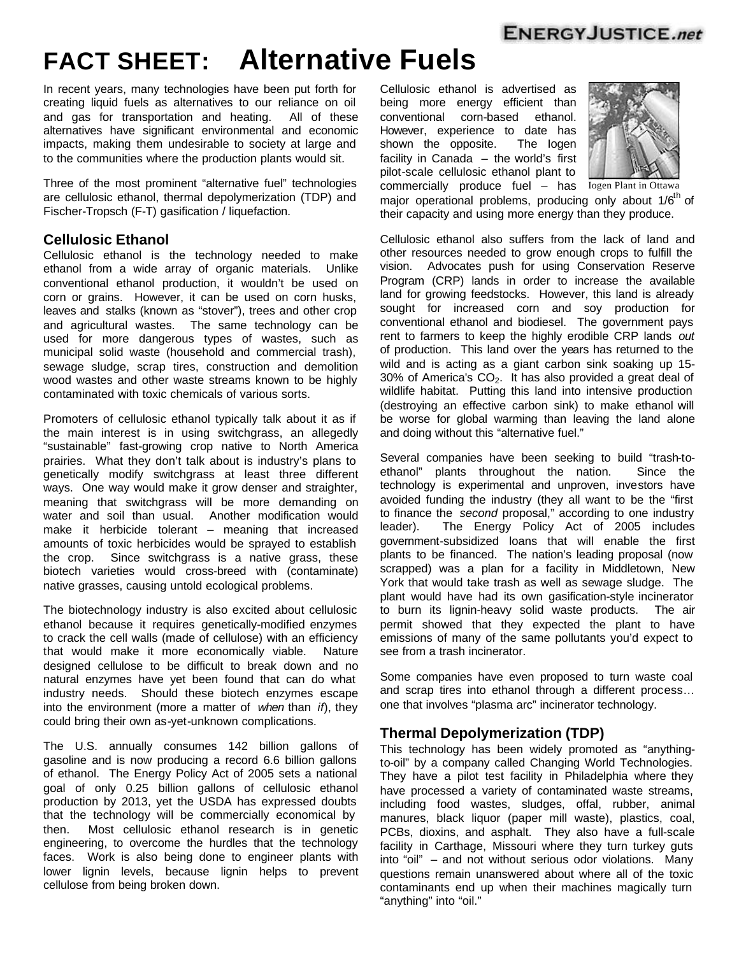## **ENERGYJUSTICE.net**

# **FACT SHEET: Alternative Fuels**

In recent years, many technologies have been put forth for creating liquid fuels as alternatives to our reliance on oil and gas for transportation and heating. All of these alternatives have significant environmental and economic impacts, making them undesirable to society at large and to the communities where the production plants would sit.

Three of the most prominent "alternative fuel" technologies are cellulosic ethanol, thermal depolymerization (TDP) and Fischer-Tropsch (F-T) gasification / liquefaction.

#### **Cellulosic Ethanol**

Cellulosic ethanol is the technology needed to make ethanol from a wide array of organic materials. Unlike conventional ethanol production, it wouldn't be used on corn or grains. However, it can be used on corn husks, leaves and stalks (known as "stover"), trees and other crop and agricultural wastes. The same technology can be used for more dangerous types of wastes, such as municipal solid waste (household and commercial trash), sewage sludge, scrap tires, construction and demolition wood wastes and other waste streams known to be highly contaminated with toxic chemicals of various sorts.

Promoters of cellulosic ethanol typically talk about it as if the main interest is in using switchgrass, an allegedly "sustainable" fast-growing crop native to North America prairies. What they don't talk about is industry's plans to genetically modify switchgrass at least three different ways. One way would make it grow denser and straighter, meaning that switchgrass will be more demanding on water and soil than usual. Another modification would make it herbicide tolerant – meaning that increased amounts of toxic herbicides would be sprayed to establish the crop. Since switchgrass is a native grass, these biotech varieties would cross-breed with (contaminate) native grasses, causing untold ecological problems.

The biotechnology industry is also excited about cellulosic ethanol because it requires genetically-modified enzymes to crack the cell walls (made of cellulose) with an efficiency that would make it more economically viable. Nature designed cellulose to be difficult to break down and no natural enzymes have yet been found that can do what industry needs. Should these biotech enzymes escape into the environment (more a matter of *when* than *if*), they could bring their own as-yet-unknown complications.

The U.S. annually consumes 142 billion gallons of gasoline and is now producing a record 6.6 billion gallons of ethanol. The Energy Policy Act of 2005 sets a national goal of only 0.25 billion gallons of cellulosic ethanol production by 2013, yet the USDA has expressed doubts that the technology will be commercially economical by then. Most cellulosic ethanol research is in genetic engineering, to overcome the hurdles that the technology faces. Work is also being done to engineer plants with lower lignin levels, because lignin helps to prevent cellulose from being broken down.

Cellulosic ethanol is advertised as being more energy efficient than conventional corn-based ethanol. However, experience to date has shown the opposite. The Iogen facility in Canada – the world's first pilot-scale cellulosic ethanol plant to



commercially produce fuel - has Iogen Plant in Ottawa major operational problems, producing only about  $1/6<sup>th</sup>$  of their capacity and using more energy than they produce.

Cellulosic ethanol also suffers from the lack of land and other resources needed to grow enough crops to fulfill the vision. Advocates push for using Conservation Reserve Program (CRP) lands in order to increase the available land for growing feedstocks. However, this land is already sought for increased corn and soy production for conventional ethanol and biodiesel. The government pays rent to farmers to keep the highly erodible CRP lands *out* of production. This land over the years has returned to the wild and is acting as a giant carbon sink soaking up 15-  $30\%$  of America's  $CO<sub>2</sub>$ . It has also provided a great deal of wildlife habitat. Putting this land into intensive production (destroying an effective carbon sink) to make ethanol will be worse for global warming than leaving the land alone and doing without this "alternative fuel."

Several companies have been seeking to build "trash-toethanol" plants throughout the nation. Since the technology is experimental and unproven, investors have avoided funding the industry (they all want to be the "first to finance the *second* proposal," according to one industry leader). The Energy Policy Act of 2005 includes government-subsidized loans that will enable the first plants to be financed. The nation's leading proposal (now scrapped) was a plan for a facility in Middletown, New York that would take trash as well as sewage sludge. The plant would have had its own gasification-style incinerator to burn its lignin-heavy solid waste products. The air permit showed that they expected the plant to have emissions of many of the same pollutants you'd expect to see from a trash incinerator.

Some companies have even proposed to turn waste coal and scrap tires into ethanol through a different process… one that involves "plasma arc" incinerator technology.

#### **Thermal Depolymerization (TDP)**

This technology has been widely promoted as "anythingto-oil" by a company called Changing World Technologies. They have a pilot test facility in Philadelphia where they have processed a variety of contaminated waste streams, including food wastes, sludges, offal, rubber, animal manures, black liquor (paper mill waste), plastics, coal, PCBs, dioxins, and asphalt. They also have a full-scale facility in Carthage, Missouri where they turn turkey guts into "oil" – and not without serious odor violations. Many questions remain unanswered about where all of the toxic contaminants end up when their machines magically turn "anything" into "oil."